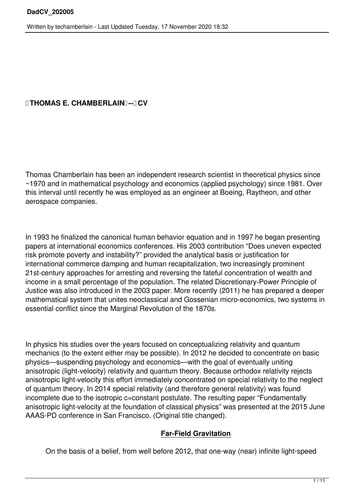## *ITHOMAS E. CHAMBERLAINE-FICV*

Thomas Chamberlain has been an independent research scientist in theoretical physics since ~1970 and in mathematical psychology and economics (applied psychology) since 1981. Over this interval until recently he was employed as an engineer at Boeing, Raytheon, and other aerospace companies.

In 1993 he finalized the canonical human behavior equation and in 1997 he began presenting papers at international economics conferences. His 2003 contribution "Does uneven expected risk promote poverty and instability?" provided the analytical basis or justification for international commerce damping and human recapitalization, two increasingly prominent 21st-century approaches for arresting and reversing the fateful concentration of wealth and income in a small percentage of the population. The related Discretionary-Power Principle of Justice was also introduced in the 2003 paper. More recently (2011) he has prepared a deeper mathematical system that unites neoclassical and Gossenian micro-economics, two systems in essential conflict since the Marginal Revolution of the 1870s.

In physics his studies over the years focused on conceptualizing relativity and quantum mechanics (to the extent either may be possible). In 2012 he decided to concentrate on basic physics—suspending psychology and economics—with the goal of eventually uniting anisotropic (light-velocity) relativity and quantum theory. Because orthodox relativity rejects anisotropic light-velocity this effort immediately concentrated on special relativity to the neglect of quantum theory. In 2014 special relativity (and therefore general relativity) was found incomplete due to the isotropic c=constant postulate. The resulting paper "Fundamentally anisotropic light-velocity at the foundation of classical physics" was presented at the 2015 June AAAS-PD conference in San Francisco. (Original title changed).

## **Far-Field Gravitation**

On the basis of a belief, from well before 2012, that one-way (near) infinite light-speed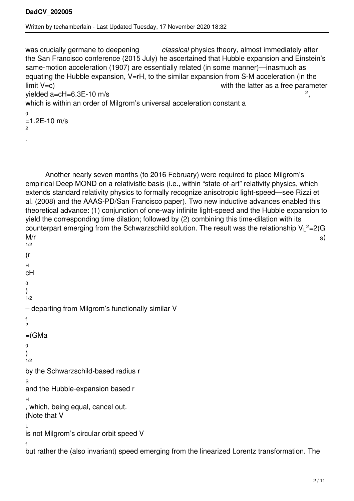was crucially germane to deepening *classical* physics theory, almost immediately after the San Francisco conference (2015 July) he ascertained that Hubble expansion and Einstein's same-motion acceleration (1907) are essentially related (in some manner)—inasmuch as equating the Hubble expansion, V=rH, to the similar expansion from S-M acceleration (in the limit V=c) with the latter as a free parameter yielded a=cH=6.3E-10 m/s ,

which is within an order of Milgrom's universal acceleration constant a

 $\overline{0}$  $=1.2E-10$  m/s  $\mathfrak{p}$ 

.

 Another nearly seven months (to 2016 February) were required to place Milgrom's empirical Deep MOND on a relativistic basis (i.e., within "state-of-art" relativity physics, which extends standard relativity physics to formally recognize anisotropic light-speed—see Rizzi et al. (2008) and the AAAS-PD/San Francisco paper). Two new inductive advances enabled this theoretical advance: (1) conjunction of one-way infinite light-speed and the Hubble expansion to yield the corresponding time dilation; followed by (2) combining this time-dilation with its counterpart emerging from the Schwarzschild solution. The result was the relationship V $_{\mathsf{L}}$ <sup>2</sup>=2(G  $M/r$  s) solved that  $\sim$  s) 1/2

```
(r
H
cH
\overline{0})
1/2– departing from Milgrom's functionally similar V
f
2
=(GMa)0
)
1/2
by the Schwarzschild-based radius r
S
and the Hubble-expansion based r
H
, which, being equal, cancel out. 
(Note that V
L
is not Milgrom's circular orbit speed V
f
but rather the (also invariant) speed emerging from the linearized Lorentz transformation. The
```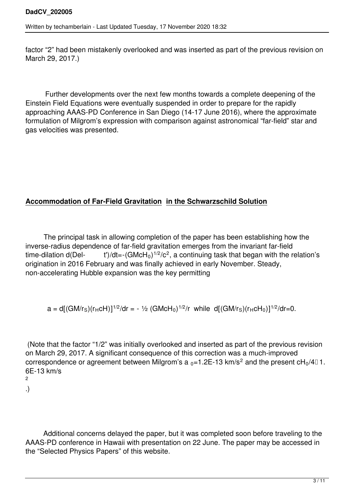factor "2" had been mistakenly overlooked and was inserted as part of the previous revision on March 29, 2017.)

 Further developments over the next few months towards a complete deepening of the Einstein Field Equations were eventually suspended in order to prepare for the rapidly approaching AAAS-PD Conference in San Diego (14-17 June 2016), where the approximate formulation of Milgrom's expression with comparison against astronomical "far-field" star and gas velocities was presented.

# **Accommodation of Far-Field Gravitation in the Schwarzschild Solution**

 The principal task in allowing completion of the paper has been establishing how the inverse-radius dependence of far-field gravitation emerges from the invariant far-field time-dilation d(Del-  $\qquad$  t')/dt=-(GMcH $_0$ ) $^{1/2}$ /c $^2$ , a continuing task that began with the relation's origination in 2016 February and was finally achieved in early November. Steady, non-accelerating Hubble expansion was the key permitting

$$
a = d[(GM/rS)(rHcH)]^{1/2}/dr = -1/2 (GMcH0)^{1/2}/r while d[(GM/rS)(rHcH0)]^{1/2}/dr = 0.
$$

(Note that the factor "1/2" was initially overlooked and inserted as part of the previous revision on March 29, 2017. A significant consequence of this correction was a much-improved correspondence or agreement between Milgrom's a  $_0$ =1.2E-13 km/s<sup>2</sup> and the present cH $_0$ /4 $\scriptstyle\rm I$  1. 6E-13 km/s 2

.)

 Additional concerns delayed the paper, but it was completed soon before traveling to the AAAS-PD conference in Hawaii with presentation on 22 June. The paper may be accessed in the "Selected Physics Papers" of this website.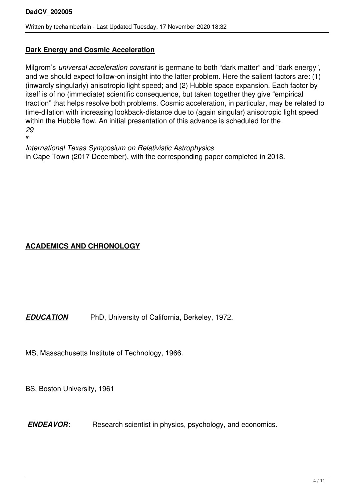#### **Dark Energy and Cosmic Acceleration**

Milgrom's *universal acceleration constant* is germane to both "dark matter" and "dark energy", and we should expect follow-on insight into the latter problem. Here the salient factors are: (1) (inwardly singularly) anisotropic light speed; and (2) Hubble space expansion. Each factor by itself is of no (immediate) scientific consequence, but taken together they give "empirical traction" that helps resolve both problems. Cosmic acceleration, in particular, may be related to time-dilation with increasing lookback-distance due to (again singular) anisotropic light speed within the Hubble flow. An initial presentation of this advance is scheduled for the *29 th*

*International Texas Symposium on Relativistic Astrophysics* in Cape Town (2017 December), with the corresponding paper completed in 2018.

## **ACADEMICS AND CHRONOLOGY**

*EDUCATION* PhD, University of California, Berkeley, 1972.

MS, Massachusetts Institute of Technology, 1966.

BS, Boston University, 1961

*ENDEAVOR*: Research scientist in physics, psychology, and economics.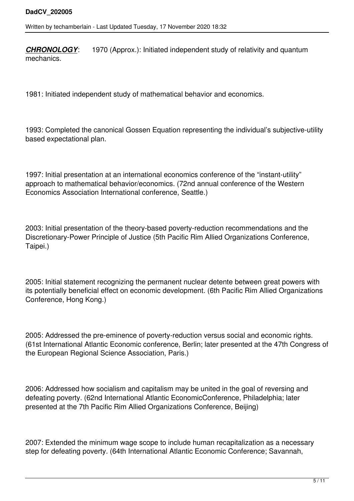*CHRONOLOGY*: 1970 (Approx.): Initiated independent study of relativity and quantum mechanics.

1981: Initiated independent study of mathematical behavior and economics.

1993: Completed the canonical Gossen Equation representing the individual's subjective-utility based expectational plan.

1997: Initial presentation at an international economics conference of the "instant-utility" approach to mathematical behavior/economics. (72nd annual conference of the Western Economics Association International conference, Seattle.)

2003: Initial presentation of the theory-based poverty-reduction recommendations and the Discretionary-Power Principle of Justice (5th Pacific Rim Allied Organizations Conference, Taipei.)

2005: Initial statement recognizing the permanent nuclear detente between great powers with its potentially beneficial effect on economic development. (6th Pacific Rim Allied Organizations Conference, Hong Kong.)

2005: Addressed the pre-eminence of poverty-reduction versus social and economic rights. (61st International Atlantic Economic conference, Berlin; later presented at the 47th Congress of the European Regional Science Association, Paris.)

2006: Addressed how socialism and capitalism may be united in the goal of reversing and defeating poverty. (62nd International Atlantic EconomicConference, Philadelphia; later presented at the 7th Pacific Rim Allied Organizations Conference, Beijing)

2007: Extended the minimum wage scope to include human recapitalization as a necessary step for defeating poverty. (64th International Atlantic Economic Conference; Savannah,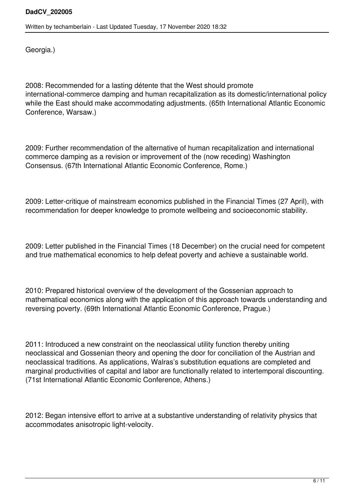Georgia.)

2008: Recommended for a lasting détente that the West should promote international-commerce damping and human recapitalization as its domestic/international policy while the East should make accommodating adjustments. (65th International Atlantic Economic Conference, Warsaw.)

2009: Further recommendation of the alternative of human recapitalization and international commerce damping as a revision or improvement of the (now receding) Washington Consensus. (67th International Atlantic Economic Conference, Rome.)

2009: Letter-critique of mainstream economics published in the Financial Times (27 April), with recommendation for deeper knowledge to promote wellbeing and socioeconomic stability.

2009: Letter published in the Financial Times (18 December) on the crucial need for competent and true mathematical economics to help defeat poverty and achieve a sustainable world.

2010: Prepared historical overview of the development of the Gossenian approach to mathematical economics along with the application of this approach towards understanding and reversing poverty. (69th International Atlantic Economic Conference, Prague.)

2011: Introduced a new constraint on the neoclassical utility function thereby uniting neoclassical and Gossenian theory and opening the door for conciliation of the Austrian and neoclassical traditions. As applications, Walras's substitution equations are completed and marginal productivities of capital and labor are functionally related to intertemporal discounting. (71st International Atlantic Economic Conference, Athens.)

2012: Began intensive effort to arrive at a substantive understanding of relativity physics that accommodates anisotropic light-velocity.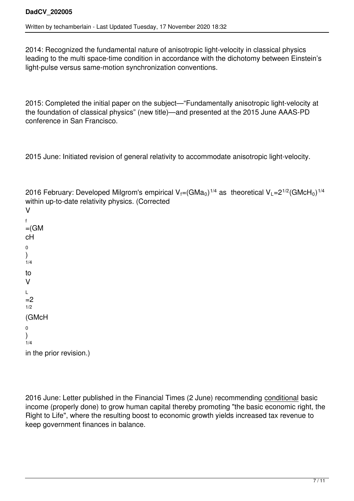2014: Recognized the fundamental nature of anisotropic light-velocity in classical physics leading to the multi space-time condition in accordance with the dichotomy between Einstein's light-pulse versus same-motion synchronization conventions.

2015: Completed the initial paper on the subject—"Fundamentally anisotropic light-velocity at the foundation of classical physics" (new title)—and presented at the 2015 June AAAS-PD conference in San Francisco.

2015 June: Initiated revision of general relativity to accommodate anisotropic light-velocity.

2016 February: Developed Milgrom's empirical V $_{\mathsf{f}}$ =(GMa $_{\mathsf{0}}$ ) $^{1/4}$  as  $\,$  theoretical V $_{\mathsf{L}}$ =2 $^{1/2}$ (GMcH $_{\mathsf{0}}$ ) $^{1/4}$ within up-to-date relativity physics. (Corrected V f  $=(GM)$ cH  $\overline{0}$ ) 1/4 to V L  $=2$ 1/2 (GMcH 0 )  $1/4$ 

in the prior revision.)

2016 June: Letter published in the Financial Times (2 June) recommending conditional basic income (properly done) to grow human capital thereby promoting "the basic economic right, the Right to Life", where the resulting boost to economic growth yields increased tax revenue to keep government finances in balance.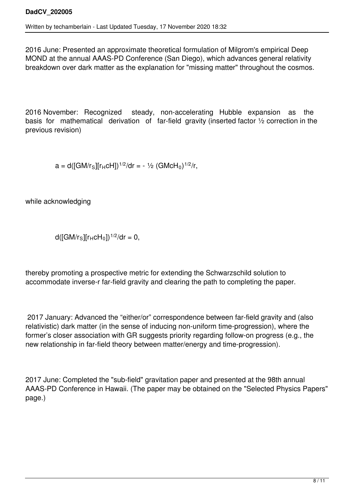2016 June: Presented an approximate theoretical formulation of Milgrom's empirical Deep MOND at the annual AAAS-PD Conference (San Diego), which advances general relativity breakdown over dark matter as the explanation for "missing matter" throughout the cosmos.

2016 November: Recognized steady, non-accelerating Hubble expansion as the basis for mathematical derivation of far-field gravity (inserted factor 1/2 correction in the previous revision)

 $a = d([GM/r<sub>S</sub>][r<sub>H</sub>cH])^{1/2}/dr = -1/2 (GMcH<sub>0</sub>)^{1/2}/r,$ 

while acknowledging

 $d([GM/r<sub>S</sub>][r<sub>H</sub>CH<sub>0</sub>])^{1/2}/dr = 0,$ 

thereby promoting a prospective metric for extending the Schwarzschild solution to accommodate inverse-r far-field gravity and clearing the path to completing the paper.

2017 January: Advanced the "either/or" correspondence between far-field gravity and (also relativistic) dark matter (in the sense of inducing non-uniform time-progression), where the former's closer association with GR suggests priority regarding follow-on progress (e.g., the new relationship in far-field theory between matter/energy and time-progression).

2017 June: Completed the "sub-field" gravitation paper and presented at the 98th annual AAAS-PD Conference in Hawaii. (The paper may be obtained on the "Selected Physics Papers" page.)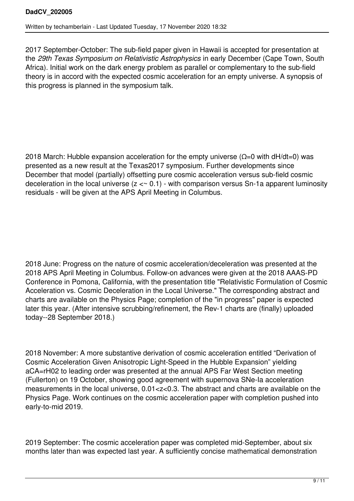2017 September-October: The sub-field paper given in Hawaii is accepted for presentation at the *29th Texas Symposium on Relativistic Astrophysics* in early December (Cape Town, South Africa). Initial work on the dark energy problem as parallel or complementary to the sub-field theory is in accord with the expected cosmic acceleration for an empty universe. A synopsis of this progress is planned in the symposium talk.

2018 March: Hubble expansion acceleration for the empty universe ( $\Omega$ =0 with dH/dt=0) was presented as a new result at the Texas2017 symposium. Further developments since December that model (partially) offsetting pure cosmic acceleration versus sub-field cosmic deceleration in the local universe  $(z < \sim 0.1)$  - with comparison versus Sn-1a apparent luminosity residuals - will be given at the APS April Meeting in Columbus.

2018 June: Progress on the nature of cosmic acceleration/deceleration was presented at the 2018 APS April Meeting in Columbus. Follow-on advances were given at the 2018 AAAS-PD Conference in Pomona, California, with the presentation title "Relativistic Formulation of Cosmic Acceleration vs. Cosmic Deceleration in the Local Universe." The corresponding abstract and charts are available on the Physics Page; completion of the "in progress" paper is expected later this year. (After intensive scrubbing/refinement, the Rev-1 charts are (finally) uploaded today--28 September 2018.)

2018 November: A more substantive derivation of cosmic acceleration entitled "Derivation of Cosmic Acceleration Given Anisotropic Light-Speed in the Hubble Expansion" yielding aCA=rH02 to leading order was presented at the annual APS Far West Section meeting (Fullerton) on 19 October, showing good agreement with supernova SNe-Ia acceleration measurements in the local universe, 0.01<z<0.3. The abstract and charts are available on the Physics Page. Work continues on the cosmic acceleration paper with completion pushed into early-to-mid 2019.

2019 September: The cosmic acceleration paper was completed mid-September, about six months later than was expected last year. A sufficiently concise mathematical demonstration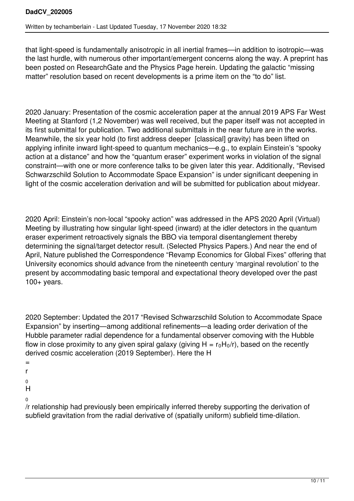that light-speed is fundamentally anisotropic in all inertial frames—in addition to isotropic—was the last hurdle, with numerous other important/emergent concerns along the way. A preprint has been posted on ResearchGate and the Physics Page herein. Updating the galactic "missing matter" resolution based on recent developments is a prime item on the "to do" list.

2020 January: Presentation of the cosmic acceleration paper at the annual 2019 APS Far West Meeting at Stanford (1,2 November) was well received, but the paper itself was not accepted in its first submittal for publication. Two additional submittals in the near future are in the works. Meanwhile, the six year hold (to first address deeper [classical] gravity) has been lifted on applying infinite inward light-speed to quantum mechanics—e.g., to explain Einstein's "spooky action at a distance" and how the "quantum eraser" experiment works in violation of the signal constraint—with one or more conference talks to be given later this year. Additionally, "Revised Schwarzschild Solution to Accommodate Space Expansion" is under significant deepening in light of the cosmic acceleration derivation and will be submitted for publication about midyear.

2020 April: Einstein's non-local "spooky action" was addressed in the APS 2020 April (Virtual) Meeting by illustrating how singular light-speed (inward) at the idler detectors in the quantum eraser experiment retroactively signals the BBO via temporal disentanglement thereby determining the signal/target detector result. (Selected Physics Papers.) And near the end of April, Nature published the Correspondence "Revamp Economics for Global Fixes" offering that University economics should advance from the nineteenth century 'marginal revolution' to the present by accommodating basic temporal and expectational theory developed over the past 100+ years.

2020 September: Updated the 2017 "Revised Schwarzschild Solution to Accommodate Space Expansion" by inserting—among additional refinements—a leading order derivation of the Hubble parameter radial dependence for a fundamental observer comoving with the Hubble flow in close proximity to any given spiral galaxy (giving  $H = r_0H_0/r$ ), based on the recently derived cosmic acceleration (2019 September). Here the H

- =
- r
- 0
- H
- $\overline{0}$

/r relationship had previously been empirically inferred thereby supporting the derivation of subfield gravitation from the radial derivative of (spatially uniform) subfield time-dilation.